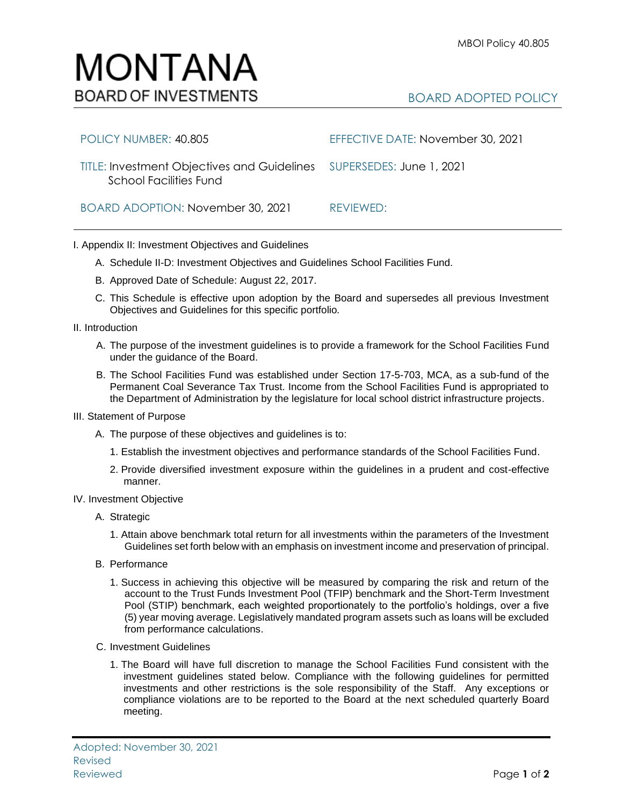## MONTANA **BOARD OF INVESTMENTS**

## BOARD ADOPTED POLICY

| POLICY NUMBER: 40.805                                                                          | EFFECTIVE DATE: November 30, 2021 |
|------------------------------------------------------------------------------------------------|-----------------------------------|
| TITLE: Investment Objectives and Guidelines SUPERSEDES: June 1, 2021<br>School Facilities Fund |                                   |
| BOARD ADOPTION: November 30, 2021                                                              | REVIEWED:                         |

## I. Appendix II: Investment Objectives and Guidelines

- A. Schedule II-D: Investment Objectives and Guidelines School Facilities Fund.
- B. Approved Date of Schedule: August 22, 2017.
- C. This Schedule is effective upon adoption by the Board and supersedes all previous Investment Objectives and Guidelines for this specific portfolio*.*
- II. Introduction
	- A. The purpose of the investment guidelines is to provide a framework for the School Facilities Fund under the guidance of the Board.
	- B. The School Facilities Fund was established under Section 17-5-703, MCA, as a sub-fund of the Permanent Coal Severance Tax Trust. Income from the School Facilities Fund is appropriated to the Department of Administration by the legislature for local school district infrastructure projects.
- III. Statement of Purpose
	- A. The purpose of these objectives and guidelines is to:
		- 1. Establish the investment objectives and performance standards of the School Facilities Fund.
		- 2. Provide diversified investment exposure within the guidelines in a prudent and cost-effective manner.
- IV. Investment Objective
	- A. Strategic
		- 1. Attain above benchmark total return for all investments within the parameters of the Investment Guidelines set forth below with an emphasis on investment income and preservation of principal.
	- B. Performance
		- 1. Success in achieving this objective will be measured by comparing the risk and return of the account to the Trust Funds Investment Pool (TFIP) benchmark and the Short-Term Investment Pool (STIP) benchmark, each weighted proportionately to the portfolio's holdings, over a five (5) year moving average. Legislatively mandated program assets such as loans will be excluded from performance calculations.
	- C. Investment Guidelines
		- 1. The Board will have full discretion to manage the School Facilities Fund consistent with the investment guidelines stated below. Compliance with the following guidelines for permitted investments and other restrictions is the sole responsibility of the Staff. Any exceptions or compliance violations are to be reported to the Board at the next scheduled quarterly Board meeting.